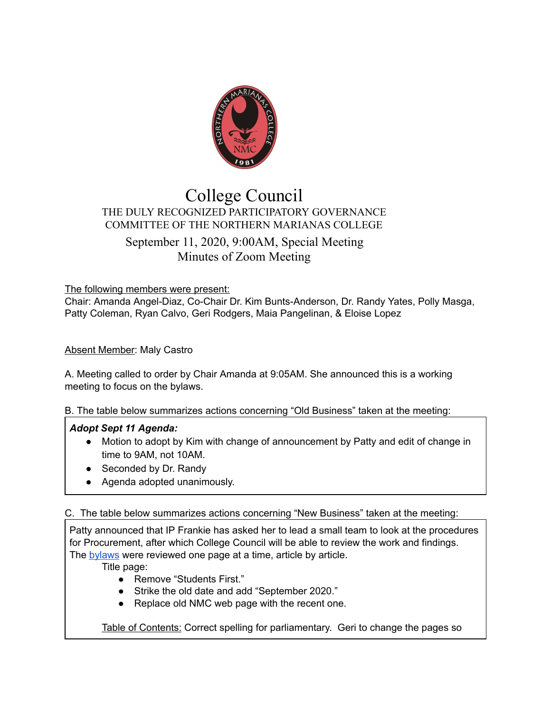

# College Council THE DULY RECOGNIZED PARTICIPATORY GOVERNANCE COMMITTEE OF THE NORTHERN MARIANAS COLLEGE September 11, 2020, 9:00AM, Special Meeting Minutes of Zoom Meeting

The following members were present:

Chair: Amanda Angel-Diaz, Co-Chair Dr. Kim Bunts-Anderson, Dr. Randy Yates, Polly Masga, Patty Coleman, Ryan Calvo, Geri Rodgers, Maia Pangelinan, & Eloise Lopez

## **Absent Member: Maly Castro**

A. Meeting called to order by Chair Amanda at 9:05AM. She announced this is a working meeting to focus on the bylaws.

B. The table below summarizes actions concerning "Old Business" taken at the meeting:

## *Adopt Sept 11 Agenda:*

- Motion to adopt by Kim with change of announcement by Patty and edit of change in time to 9AM, not 10AM.
- Seconded by Dr. Randy
- Agenda adopted unanimously.

C. The table below summarizes actions concerning "New Business" taken at the meeting:

Patty announced that IP Frankie has asked her to lead a small team to look at the procedures for Procurement, after which College Council will be able to review the work and findings. The [bylaws](https://docs.google.com/document/d/1VkFvpN0I3SahavvkV9e2YB99D_KQsU-ERag0VnWBwDg/edit) were reviewed one page at a time, article by article.

Title page:

- Remove "Students First."
- Strike the old date and add "September 2020."
- Replace old NMC web page with the recent one.

Table of Contents: Correct spelling for parliamentary. Geri to change the pages so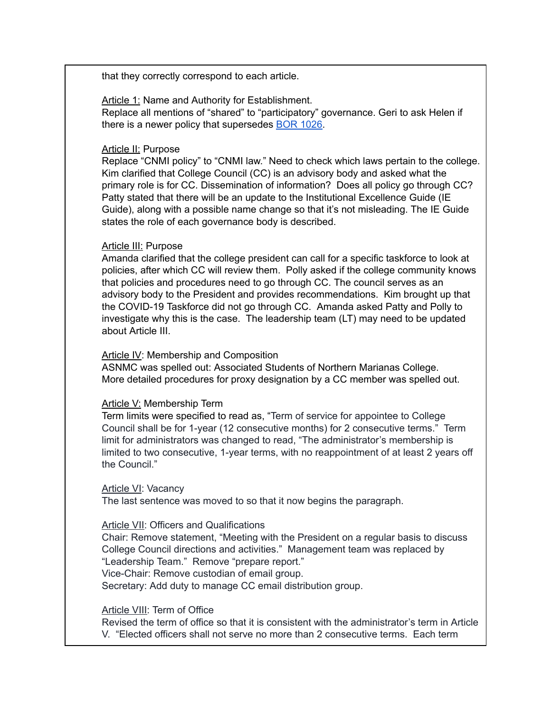that they correctly correspond to each article.

Article 1: Name and Authority for Establishment. Replace all mentions of "shared" to "participatory" governance. Geri to ask Helen if there is a newer policy that supersedes BOR [1026](https://www.marianas.edu/media/Board-of-Regents/Policies/1026_Insitutional-Governance_SEP_2003.pdf).

### Article II: Purpose

Replace "CNMI policy" to "CNMI law." Need to check which laws pertain to the college. Kim clarified that College Council (CC) is an advisory body and asked what the primary role is for CC. Dissemination of information? Does all policy go through CC? Patty stated that there will be an update to the Institutional Excellence Guide (IE Guide), along with a possible name change so that it's not misleading. The IE Guide states the role of each governance body is described.

## Article III: Purpose

Amanda clarified that the college president can call for a specific taskforce to look at policies, after which CC will review them. Polly asked if the college community knows that policies and procedures need to go through CC. The council serves as an advisory body to the President and provides recommendations. Kim brought up that the COVID-19 Taskforce did not go through CC. Amanda asked Patty and Polly to investigate why this is the case. The leadership team (LT) may need to be updated about Article III.

### Article IV: Membership and Composition

ASNMC was spelled out: Associated Students of Northern Marianas College. More detailed procedures for proxy designation by a CC member was spelled out.

#### Article V: Membership Term

Term limits were specified to read as, "Term of service for appointee to College Council shall be for 1-year (12 consecutive months) for 2 consecutive terms." Term limit for administrators was changed to read, "The administrator's membership is limited to two consecutive, 1-year terms, with no reappointment of at least 2 years off the Council."

# Article VI: Vacancy

The last sentence was moved to so that it now begins the paragraph.

#### Article VII: Officers and Qualifications

Chair: Remove statement, "Meeting with the President on a regular basis to discuss College Council directions and activities." Management team was replaced by "Leadership Team." Remove "prepare report." Vice-Chair: Remove custodian of email group. Secretary: Add duty to manage CC email distribution group.

### Article VIII: Term of Office

Revised the term of office so that it is consistent with the administrator's term in Article V. "Elected officers shall not serve no more than 2 consecutive terms. Each term